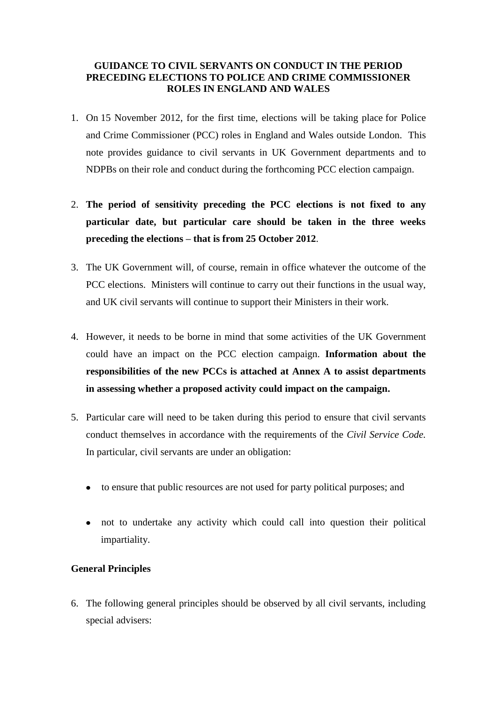#### **GUIDANCE TO CIVIL SERVANTS ON CONDUCT IN THE PERIOD PRECEDING ELECTIONS TO POLICE AND CRIME COMMISSIONER ROLES IN ENGLAND AND WALES**

- 1. On 15 November 2012, for the first time, elections will be taking place for Police and Crime Commissioner (PCC) roles in England and Wales outside London. This note provides guidance to civil servants in UK Government departments and to NDPBs on their role and conduct during the forthcoming PCC election campaign.
- 2. **The period of sensitivity preceding the PCC elections is not fixed to any particular date, but particular care should be taken in the three weeks preceding the elections – that is from 25 October 2012**.
- 3. The UK Government will, of course, remain in office whatever the outcome of the PCC elections. Ministers will continue to carry out their functions in the usual way, and UK civil servants will continue to support their Ministers in their work.
- 4. However, it needs to be borne in mind that some activities of the UK Government could have an impact on the PCC election campaign. **Information about the responsibilities of the new PCCs is attached at Annex A to assist departments in assessing whether a proposed activity could impact on the campaign.**
- 5. Particular care will need to be taken during this period to ensure that civil servants conduct themselves in accordance with the requirements of the *Civil Service Code.* In particular, civil servants are under an obligation:
	- to ensure that public resources are not used for party political purposes; and
	- not to undertake any activity which could call into question their political impartiality.

## **General Principles**

6. The following general principles should be observed by all civil servants, including special advisers: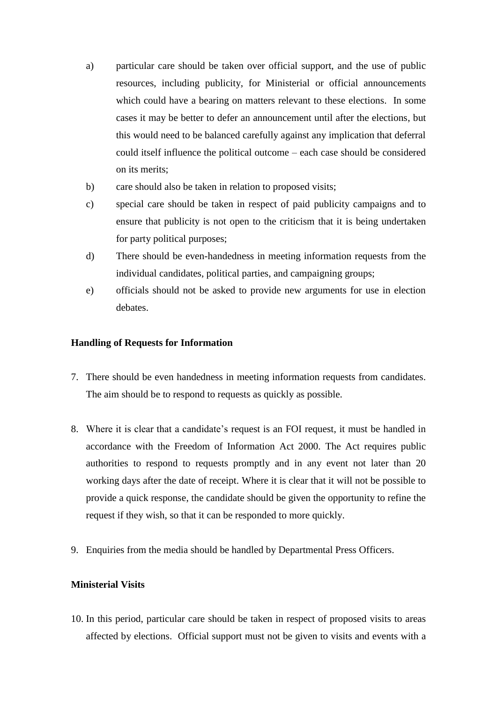- a) particular care should be taken over official support, and the use of public resources, including publicity, for Ministerial or official announcements which could have a bearing on matters relevant to these elections. In some cases it may be better to defer an announcement until after the elections, but this would need to be balanced carefully against any implication that deferral could itself influence the political outcome – each case should be considered on its merits;
- b) care should also be taken in relation to proposed visits;
- c) special care should be taken in respect of paid publicity campaigns and to ensure that publicity is not open to the criticism that it is being undertaken for party political purposes;
- d) There should be even-handedness in meeting information requests from the individual candidates, political parties, and campaigning groups;
- e) officials should not be asked to provide new arguments for use in election debates.

#### **Handling of Requests for Information**

- 7. There should be even handedness in meeting information requests from candidates. The aim should be to respond to requests as quickly as possible.
- 8. Where it is clear that a candidate's request is an FOI request, it must be handled in accordance with the Freedom of Information Act 2000. The Act requires public authorities to respond to requests promptly and in any event not later than 20 working days after the date of receipt. Where it is clear that it will not be possible to provide a quick response, the candidate should be given the opportunity to refine the request if they wish, so that it can be responded to more quickly.
- 9. Enquiries from the media should be handled by Departmental Press Officers.

#### **Ministerial Visits**

10. In this period, particular care should be taken in respect of proposed visits to areas affected by elections. Official support must not be given to visits and events with a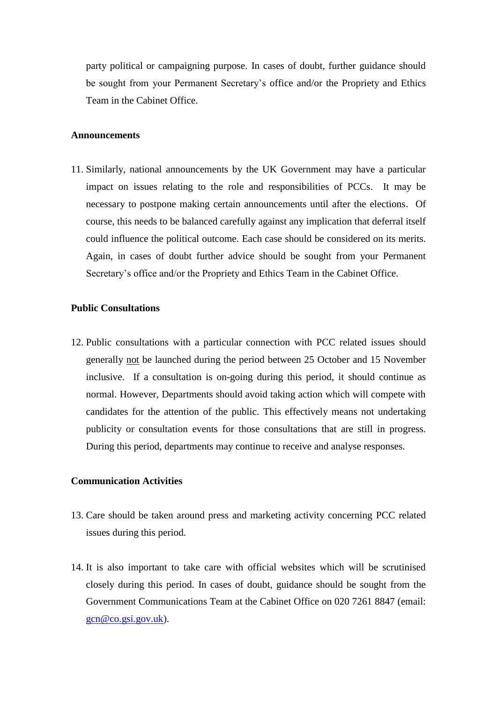party political or campaigning purpose. In cases of doubt, further guidance should be sought from your Permanent Secretary's office and/or the Propriety and Ethics Team in the Cabinet Office.

#### **Announcements**

11. Similarly, national announcements by the UK Government may have a particular impact on issues relating to the role and responsibilities of PCCs. It may be necessary to postpone making certain announcements until after the elections. Of course, this needs to be balanced carefully against any implication that deferral itself could influence the political outcome. Each case should be considered on its merits. Again, in cases of doubt further advice should be sought from your Permanent Secretary's office and/or the Propriety and Ethics Team in the Cabinet Office.

#### **Public Consultations**

12. Public consultations with a particular connection with PCC related issues should generally not be launched during the period between 25 October and 15 November inclusive. If a consultation is on-going during this period, it should continue as normal. However, Departments should avoid taking action which will compete with candidates for the attention of the public. This effectively means not undertaking publicity or consultation events for those consultations that are still in progress. During this period, departments may continue to receive and analyse responses.

#### **Communication Activities**

- 13. Care should be taken around press and marketing activity concerning PCC related issues during this period.
- 14. It is also important to take care with official websites which will be scrutinised closely during this period. In cases of doubt, guidance should be sought from the Government Communications Team at the Cabinet Office on 020 7261 8847 (email: [gcn@co.gsi.gov.uk\)](mailto:gcn@co.gsi.gov.uk).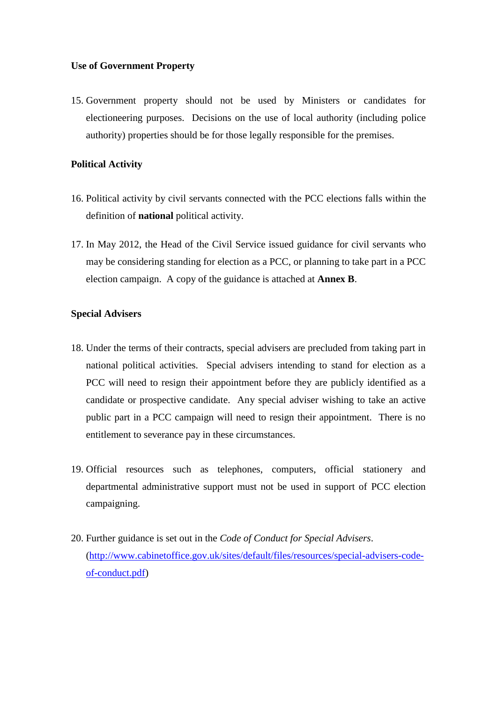#### **Use of Government Property**

15. Government property should not be used by Ministers or candidates for electioneering purposes. Decisions on the use of local authority (including police authority) properties should be for those legally responsible for the premises.

#### **Political Activity**

- 16. Political activity by civil servants connected with the PCC elections falls within the definition of **national** political activity.
- 17. In May 2012, the Head of the Civil Service issued guidance for civil servants who may be considering standing for election as a PCC, or planning to take part in a PCC election campaign. A copy of the guidance is attached at **Annex B**.

#### **Special Advisers**

- 18. Under the terms of their contracts, special advisers are precluded from taking part in national political activities. Special advisers intending to stand for election as a PCC will need to resign their appointment before they are publicly identified as a candidate or prospective candidate. Any special adviser wishing to take an active public part in a PCC campaign will need to resign their appointment. There is no entitlement to severance pay in these circumstances.
- 19. Official resources such as telephones, computers, official stationery and departmental administrative support must not be used in support of PCC election campaigning.
- 20. Further guidance is set out in the *Code of Conduct for Special Advisers*. [\(http://www.cabinetoffice.gov.uk/sites/default/files/resources/special-advisers-code](http://www.cabinetoffice.gov.uk/sites/default/files/resources/special-advisers-code-of-conduct.pdf)[of-conduct.pdf\)](http://www.cabinetoffice.gov.uk/sites/default/files/resources/special-advisers-code-of-conduct.pdf)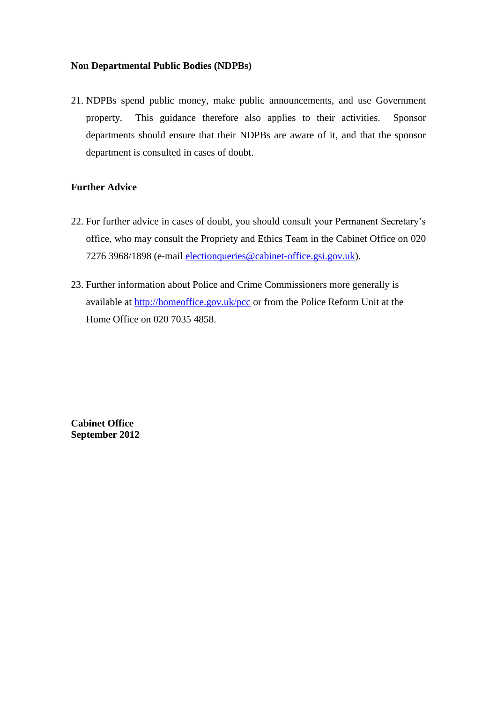#### **Non Departmental Public Bodies (NDPBs)**

21. NDPBs spend public money, make public announcements, and use Government property. This guidance therefore also applies to their activities. Sponsor departments should ensure that their NDPBs are aware of it, and that the sponsor department is consulted in cases of doubt.

## **Further Advice**

- 22. For further advice in cases of doubt, you should consult your Permanent Secretary's office, who may consult the Propriety and Ethics Team in the Cabinet Office on 020 7276 3968/1898 (e-mail [electionqueries@cabinet-office.gsi.gov.uk\)](mailto:electionqueries@cabinet-office.gsi.gov.uk).
- 23. Further information about Police and Crime Commissioners more generally is available at<http://homeoffice.gov.uk/pcc> or from the Police Reform Unit at the Home Office on 020 7035 4858.

**Cabinet Office September 2012**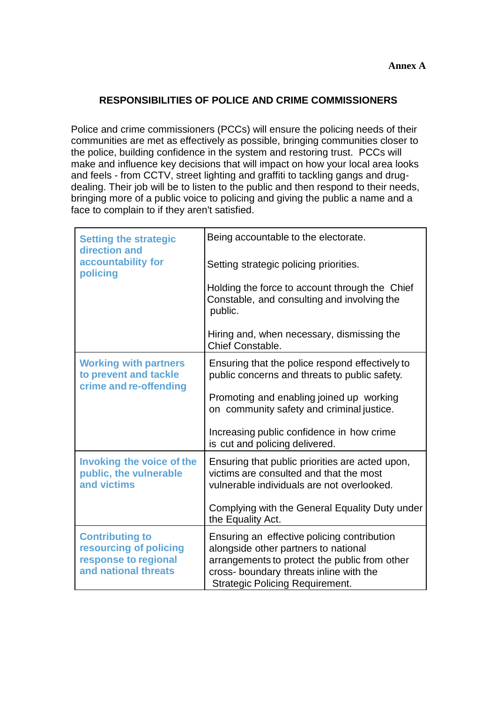# **RESPONSIBILITIES OF POLICE AND CRIME COMMISSIONERS**

Police and crime commissioners (PCCs) will ensure the policing needs of their communities are met as effectively as possible, bringing communities closer to the police, building confidence in the system and restoring trust. PCCs will make and influence key decisions that will impact on how your local area looks and feels - from CCTV, street lighting and graffiti to tackling gangs and drugdealing. Their job will be to listen to the public and then respond to their needs, bringing more of a public voice to policing and giving the public a name and a face to complain to if they aren't satisfied.

| <b>Setting the strategic</b><br>direction and                                                    | Being accountable to the electorate.                                                                                                                                                                                      |
|--------------------------------------------------------------------------------------------------|---------------------------------------------------------------------------------------------------------------------------------------------------------------------------------------------------------------------------|
| accountability for<br>policing                                                                   | Setting strategic policing priorities.                                                                                                                                                                                    |
|                                                                                                  | Holding the force to account through the Chief<br>Constable, and consulting and involving the<br>public.                                                                                                                  |
|                                                                                                  | Hiring and, when necessary, dismissing the<br>Chief Constable.                                                                                                                                                            |
| <b>Working with partners</b><br>to prevent and tackle<br>crime and re-offending                  | Ensuring that the police respond effectively to<br>public concerns and threats to public safety.                                                                                                                          |
|                                                                                                  | Promoting and enabling joined up working<br>on community safety and criminal justice.                                                                                                                                     |
|                                                                                                  | Increasing public confidence in how crime<br>is cut and policing delivered.                                                                                                                                               |
| <b>Invoking the voice of the</b><br>public, the vulnerable<br>and victims                        | Ensuring that public priorities are acted upon,<br>victims are consulted and that the most<br>vulnerable individuals are not overlooked.                                                                                  |
|                                                                                                  | Complying with the General Equality Duty under<br>the Equality Act.                                                                                                                                                       |
| <b>Contributing to</b><br>resourcing of policing<br>response to regional<br>and national threats | Ensuring an effective policing contribution<br>alongside other partners to national<br>arrangements to protect the public from other<br>cross- boundary threats inline with the<br><b>Strategic Policing Requirement.</b> |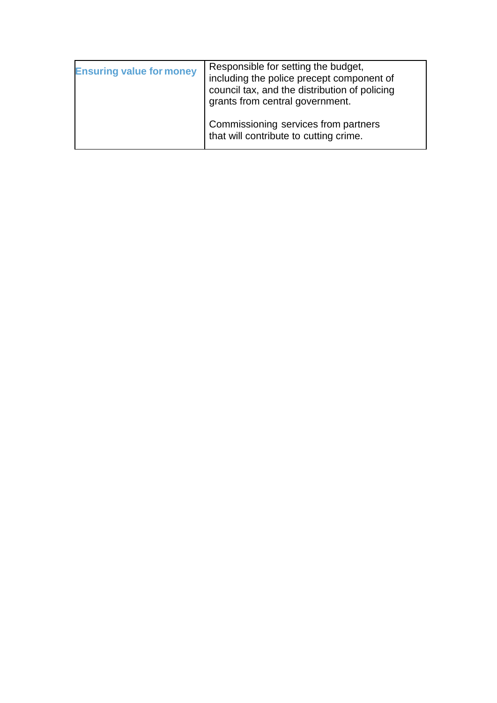| <b>Ensuring value for money</b> | Responsible for setting the budget,<br>including the police precept component of<br>council tax, and the distribution of policing<br>grants from central government. |
|---------------------------------|----------------------------------------------------------------------------------------------------------------------------------------------------------------------|
|                                 | Commissioning services from partners<br>that will contribute to cutting crime.                                                                                       |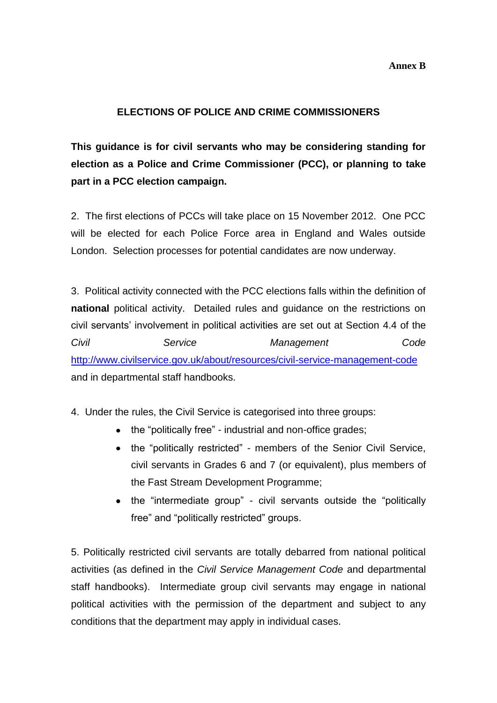#### **Annex B**

## **ELECTIONS OF POLICE AND CRIME COMMISSIONERS**

**This guidance is for civil servants who may be considering standing for election as a Police and Crime Commissioner (PCC), or planning to take part in a PCC election campaign.**

2. The first elections of PCCs will take place on 15 November 2012. One PCC will be elected for each Police Force area in England and Wales outside London. Selection processes for potential candidates are now underway.

3. Political activity connected with the PCC elections falls within the definition of **national** political activity. Detailed rules and guidance on the restrictions on civil servants' involvement in political activities are set out at Section 4.4 of the *Civil Service Management Code* <http://www.civilservice.gov.uk/about/resources/civil-service-management-code> and in departmental staff handbooks.

4. Under the rules, the Civil Service is categorised into three groups:

- the "politically free" industrial and non-office grades;
- the "politically restricted" members of the Senior Civil Service, civil servants in Grades 6 and 7 (or equivalent), plus members of the Fast Stream Development Programme;
- the "intermediate group" civil servants outside the "politically free" and "politically restricted" groups.

5. Politically restricted civil servants are totally debarred from national political activities (as defined in the *Civil Service Management Code* and departmental staff handbooks). Intermediate group civil servants may engage in national political activities with the permission of the department and subject to any conditions that the department may apply in individual cases.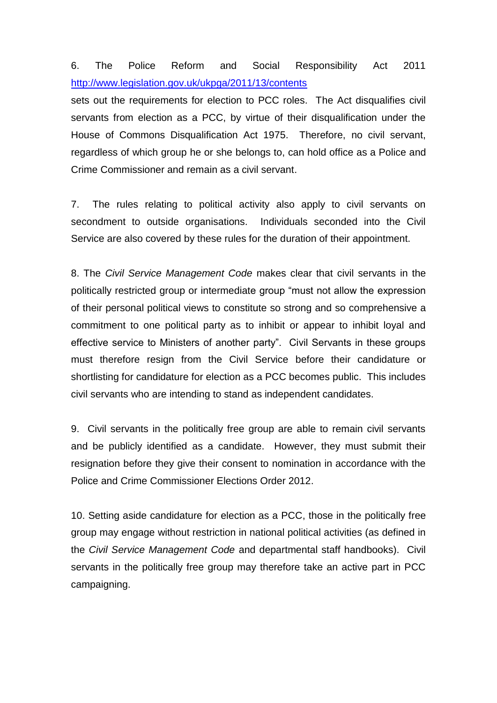# 6. The Police Reform and Social Responsibility Act 2011 <http://www.legislation.gov.uk/ukpga/2011/13/contents>

sets out the requirements for election to PCC roles. The Act disqualifies civil servants from election as a PCC, by virtue of their disqualification under the House of Commons Disqualification Act 1975. Therefore, no civil servant, regardless of which group he or she belongs to, can hold office as a Police and Crime Commissioner and remain as a civil servant.

7. The rules relating to political activity also apply to civil servants on secondment to outside organisations. Individuals seconded into the Civil Service are also covered by these rules for the duration of their appointment.

8. The *Civil Service Management Code* makes clear that civil servants in the politically restricted group or intermediate group "must not allow the expression of their personal political views to constitute so strong and so comprehensive a commitment to one political party as to inhibit or appear to inhibit loyal and effective service to Ministers of another party". Civil Servants in these groups must therefore resign from the Civil Service before their candidature or shortlisting for candidature for election as a PCC becomes public. This includes civil servants who are intending to stand as independent candidates.

9. Civil servants in the politically free group are able to remain civil servants and be publicly identified as a candidate. However, they must submit their resignation before they give their consent to nomination in accordance with the Police and Crime Commissioner Elections Order 2012.

10. Setting aside candidature for election as a PCC, those in the politically free group may engage without restriction in national political activities (as defined in the *Civil Service Management Code* and departmental staff handbooks). Civil servants in the politically free group may therefore take an active part in PCC campaigning.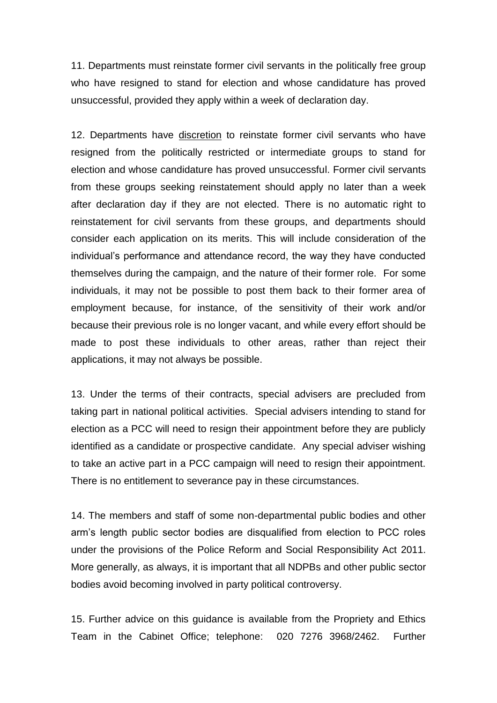11. Departments must reinstate former civil servants in the politically free group who have resigned to stand for election and whose candidature has proved unsuccessful, provided they apply within a week of declaration day.

12. Departments have discretion to reinstate former civil servants who have resigned from the politically restricted or intermediate groups to stand for election and whose candidature has proved unsuccessful. Former civil servants from these groups seeking reinstatement should apply no later than a week after declaration day if they are not elected. There is no automatic right to reinstatement for civil servants from these groups, and departments should consider each application on its merits. This will include consideration of the individual's performance and attendance record, the way they have conducted themselves during the campaign, and the nature of their former role. For some individuals, it may not be possible to post them back to their former area of employment because, for instance, of the sensitivity of their work and/or because their previous role is no longer vacant, and while every effort should be made to post these individuals to other areas, rather than reject their applications, it may not always be possible.

13. Under the terms of their contracts, special advisers are precluded from taking part in national political activities. Special advisers intending to stand for election as a PCC will need to resign their appointment before they are publicly identified as a candidate or prospective candidate. Any special adviser wishing to take an active part in a PCC campaign will need to resign their appointment. There is no entitlement to severance pay in these circumstances.

14. The members and staff of some non-departmental public bodies and other arm's length public sector bodies are disqualified from election to PCC roles under the provisions of the Police Reform and Social Responsibility Act 2011. More generally, as always, it is important that all NDPBs and other public sector bodies avoid becoming involved in party political controversy.

15. Further advice on this guidance is available from the Propriety and Ethics Team in the Cabinet Office; telephone: 020 7276 3968/2462. Further